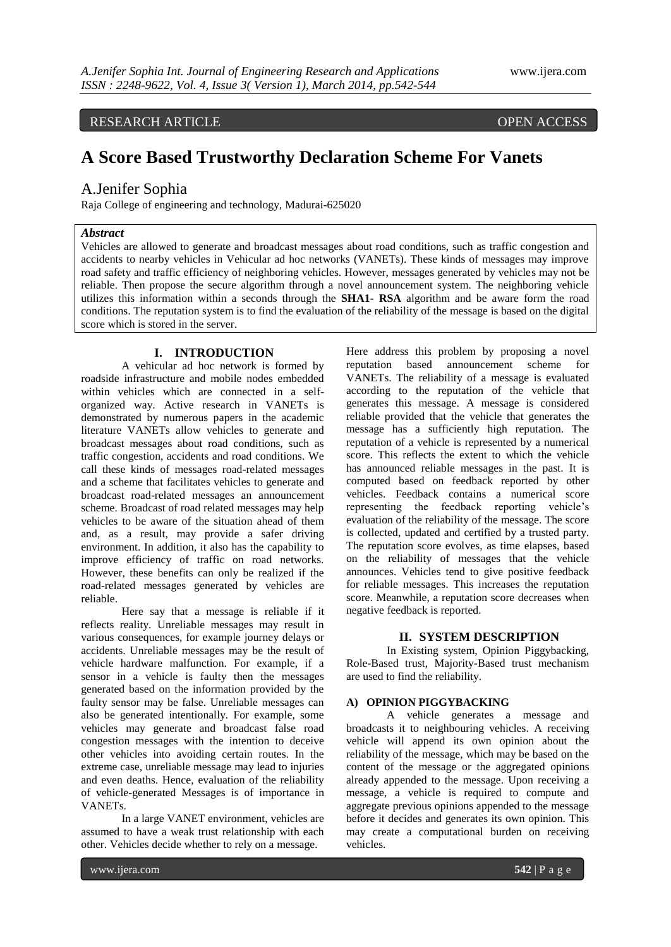# RESEARCH ARTICLE OPEN ACCESS

# **A Score Based Trustworthy Declaration Scheme For Vanets**

# A.Jenifer Sophia

Raja College of engineering and technology, Madurai-625020

## *Abstract*

Vehicles are allowed to generate and broadcast messages about road conditions, such as traffic congestion and accidents to nearby vehicles in Vehicular ad hoc networks (VANETs). These kinds of messages may improve road safety and traffic efficiency of neighboring vehicles. However, messages generated by vehicles may not be reliable. Then propose the secure algorithm through a novel announcement system. The neighboring vehicle utilizes this information within a seconds through the **SHA1- RSA** algorithm and be aware form the road conditions. The reputation system is to find the evaluation of the reliability of the message is based on the digital score which is stored in the server.

# **I. INTRODUCTION**

A vehicular ad hoc network is formed by roadside infrastructure and mobile nodes embedded within vehicles which are connected in a selforganized way. Active research in VANETs is demonstrated by numerous papers in the academic literature VANETs allow vehicles to generate and broadcast messages about road conditions, such as traffic congestion, accidents and road conditions. We call these kinds of messages road-related messages and a scheme that facilitates vehicles to generate and broadcast road-related messages an announcement scheme. Broadcast of road related messages may help vehicles to be aware of the situation ahead of them and, as a result, may provide a safer driving environment. In addition, it also has the capability to improve efficiency of traffic on road networks. However, these benefits can only be realized if the road-related messages generated by vehicles are reliable.

Here say that a message is reliable if it reflects reality. Unreliable messages may result in various consequences, for example journey delays or accidents. Unreliable messages may be the result of vehicle hardware malfunction. For example, if a sensor in a vehicle is faulty then the messages generated based on the information provided by the faulty sensor may be false. Unreliable messages can also be generated intentionally. For example, some vehicles may generate and broadcast false road congestion messages with the intention to deceive other vehicles into avoiding certain routes. In the extreme case, unreliable message may lead to injuries and even deaths. Hence, evaluation of the reliability of vehicle-generated Messages is of importance in VANETs.

In a large VANET environment, vehicles are assumed to have a weak trust relationship with each other. Vehicles decide whether to rely on a message.

Here address this problem by proposing a novel reputation based announcement scheme for VANETs. The reliability of a message is evaluated according to the reputation of the vehicle that generates this message. A message is considered reliable provided that the vehicle that generates the message has a sufficiently high reputation. The reputation of a vehicle is represented by a numerical score. This reflects the extent to which the vehicle has announced reliable messages in the past. It is computed based on feedback reported by other vehicles. Feedback contains a numerical score representing the feedback reporting vehicle's evaluation of the reliability of the message. The score is collected, updated and certified by a trusted party. The reputation score evolves, as time elapses, based on the reliability of messages that the vehicle announces. Vehicles tend to give positive feedback for reliable messages. This increases the reputation score. Meanwhile, a reputation score decreases when negative feedback is reported.

#### **II. SYSTEM DESCRIPTION**

In Existing system, Opinion Piggybacking, Role-Based trust, Majority-Based trust mechanism are used to find the reliability.

#### **A) OPINION PIGGYBACKING**

A vehicle generates a message and broadcasts it to neighbouring vehicles. A receiving vehicle will append its own opinion about the reliability of the message, which may be based on the content of the message or the aggregated opinions already appended to the message. Upon receiving a message, a vehicle is required to compute and aggregate previous opinions appended to the message before it decides and generates its own opinion. This may create a computational burden on receiving vehicles.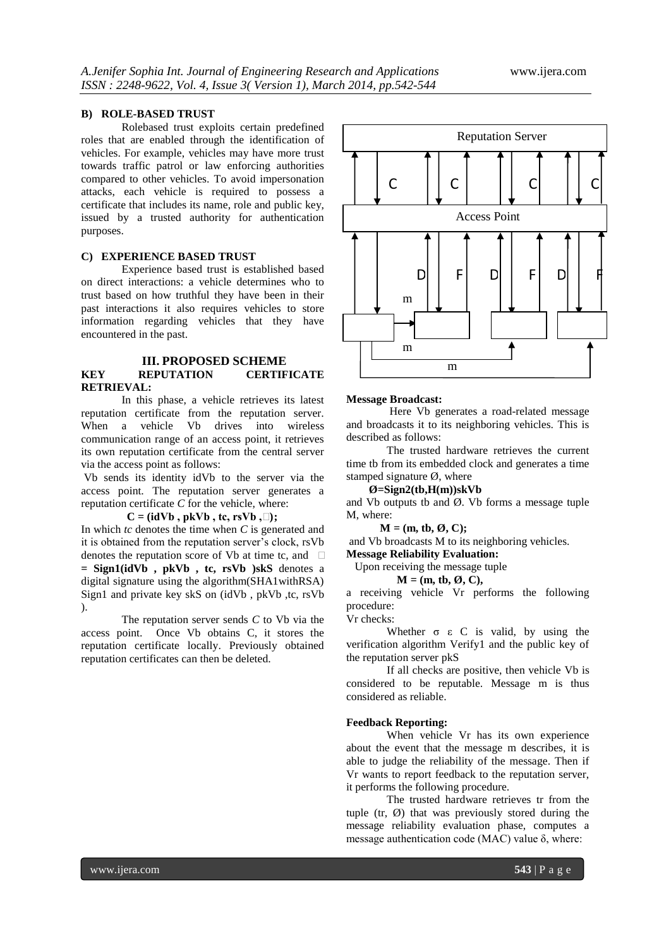### **B) ROLE-BASED TRUST**

Rolebased trust exploits certain predefined roles that are enabled through the identification of vehicles. For example, vehicles may have more trust towards traffic patrol or law enforcing authorities compared to other vehicles. To avoid impersonation attacks, each vehicle is required to possess a certificate that includes its name, role and public key, issued by a trusted authority for authentication purposes.

#### **C) EXPERIENCE BASED TRUST**

Experience based trust is established based on direct interactions: a vehicle determines who to trust based on how truthful they have been in their past interactions it also requires vehicles to store information regarding vehicles that they have encountered in the past.

# **III. PROPOSED SCHEME KEY REPUTATION CERTIFICATE RETRIEVAL:**

In this phase, a vehicle retrieves its latest reputation certificate from the reputation server. When a vehicle Vb drives into wireless communication range of an access point, it retrieves its own reputation certificate from the central server via the access point as follows:

Vb sends its identity idVb to the server via the access point. The reputation server generates a reputation certificate *C* for the vehicle, where:

 $C = (idVb, pkVb, tc, rsVb, \Box);$ 

In which *tc* denotes the time when *C* is generated and it is obtained from the reputation server's clock, rsVb denotes the reputation score of Vb at time tc, and **□ = Sign1(idVb , pkVb , tc, rsVb )skS** denotes a digital signature using the algorithm(SHA1withRSA) Sign1 and private key skS on (idVb , pkVb ,tc, rsVb ).

The reputation server sends *C* to Vb via the access point. Once Vb obtains C, it stores the reputation certificate locally. Previously obtained reputation certificates can then be deleted.



#### **Message Broadcast:**

Here Vb generates a road-related message and broadcasts it to its neighboring vehicles. This is described as follows:

The trusted hardware retrieves the current time tb from its embedded clock and generates a time stamped signature  $\varnothing$ , where

#### **Ø=Sign2(tb,H(m))skVb**

and Vb outputs tb and  $\emptyset$ . Vb forms a message tuple M, where:

**M = (m, tb, Ø, C);**

and Vb broadcasts M to its neighboring vehicles.

**Message Reliability Evaluation:**

Upon receiving the message tuple

 $M = (m, th, \emptyset, C),$ 

a receiving vehicle Vr performs the following procedure:

Vr checks:

Whether  $\sigma \in C$  is valid, by using the verification algorithm Verify1 and the public key of the reputation server pkS

If all checks are positive, then vehicle Vb is considered to be reputable. Message m is thus considered as reliable.

#### **Feedback Reporting:**

When vehicle Vr has its own experience about the event that the message m describes, it is able to judge the reliability of the message. Then if Vr wants to report feedback to the reputation server, it performs the following procedure.

The trusted hardware retrieves tr from the tuple (tr, Ø) that was previously stored during the message reliability evaluation phase, computes a message authentication code (MAC) value  $\delta$ , where: